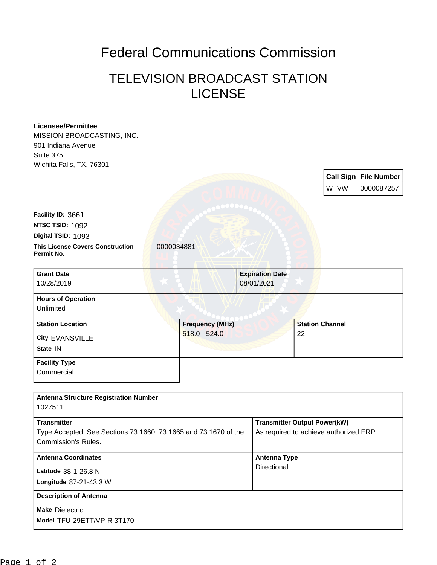## Federal Communications Commission

## TELEVISION BROADCAST STATION LICENSE

| <b>Licensee/Permittee</b>                                       |                        |                        |                                        |                        |                              |  |
|-----------------------------------------------------------------|------------------------|------------------------|----------------------------------------|------------------------|------------------------------|--|
| MISSION BROADCASTING, INC.                                      |                        |                        |                                        |                        |                              |  |
| 901 Indiana Avenue                                              |                        |                        |                                        |                        |                              |  |
| Suite 375                                                       |                        |                        |                                        |                        |                              |  |
| Wichita Falls, TX, 76301                                        |                        |                        |                                        |                        |                              |  |
|                                                                 |                        |                        |                                        |                        | <b>Call Sign File Number</b> |  |
|                                                                 |                        |                        |                                        | <b>WTVW</b>            | 0000087257                   |  |
|                                                                 |                        |                        |                                        |                        |                              |  |
| Facility ID: 3661                                               |                        |                        |                                        |                        |                              |  |
| NTSC TSID: 1092                                                 |                        |                        |                                        |                        |                              |  |
| Digital TSID: 1093                                              |                        |                        |                                        |                        |                              |  |
| <b>This License Covers Construction</b><br>Permit No.           | 0000034881             |                        |                                        |                        |                              |  |
| <b>Grant Date</b>                                               |                        | <b>Expiration Date</b> |                                        |                        |                              |  |
| 10/28/2019                                                      |                        | 08/01/2021             |                                        |                        |                              |  |
| <b>Hours of Operation</b>                                       |                        |                        |                                        |                        |                              |  |
| Unlimited                                                       |                        |                        |                                        |                        |                              |  |
| <b>Station Location</b>                                         | <b>Frequency (MHz)</b> |                        |                                        | <b>Station Channel</b> |                              |  |
| City EVANSVILLE                                                 | $518.0 - 524.0$        |                        | 22                                     |                        |                              |  |
| State IN                                                        |                        |                        |                                        |                        |                              |  |
| <b>Facility Type</b>                                            |                        |                        |                                        |                        |                              |  |
| Commercial                                                      |                        |                        |                                        |                        |                              |  |
|                                                                 |                        |                        |                                        |                        |                              |  |
| <b>Antenna Structure Registration Number</b>                    |                        |                        |                                        |                        |                              |  |
| 1027511                                                         |                        |                        |                                        |                        |                              |  |
| <b>Transmitter</b>                                              |                        |                        | <b>Transmitter Output Power(kW)</b>    |                        |                              |  |
| Type Accepted. See Sections 73.1660, 73.1665 and 73.1670 of the |                        |                        | As required to achieve authorized ERP. |                        |                              |  |
| Commission's Rules.                                             |                        |                        |                                        |                        |                              |  |
| <b>Antenna Coordinates</b>                                      |                        |                        | <b>Antenna Type</b>                    |                        |                              |  |
| Latitude 38-1-26.8 N                                            |                        | Directional            |                                        |                        |                              |  |
| Longitude 87-21-43.3 W                                          |                        |                        |                                        |                        |                              |  |
| <b>Description of Antenna</b>                                   |                        |                        |                                        |                        |                              |  |
|                                                                 |                        |                        |                                        |                        |                              |  |
| <b>Make Dielectric</b>                                          |                        |                        |                                        |                        |                              |  |
| Model TFU-29ETT/VP-R 3T170                                      |                        |                        |                                        |                        |                              |  |